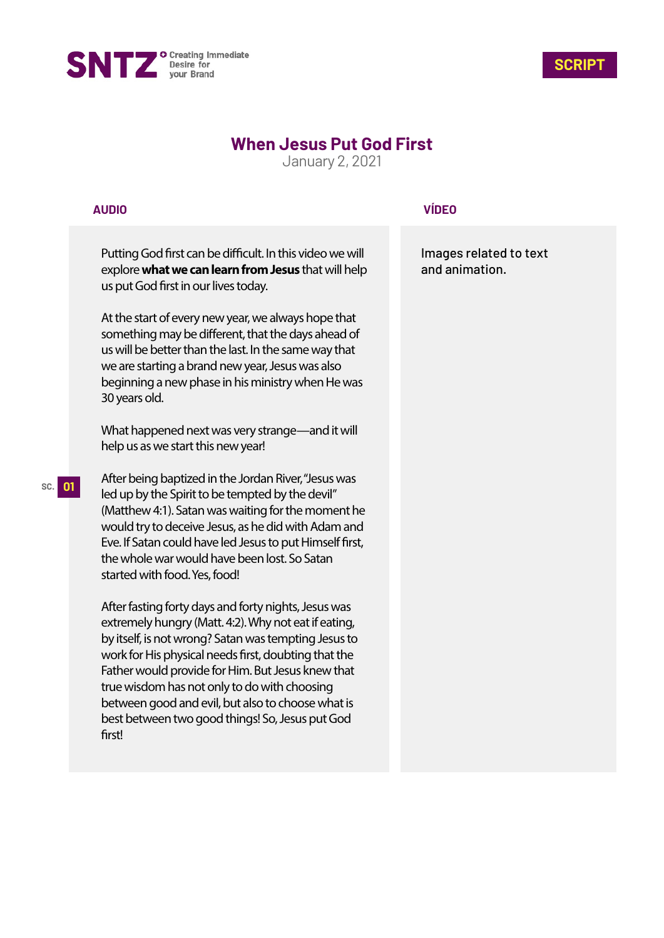



# **When Jesus Put God First**

January 2, 2021

## **AUDIO**

Putting God first can be difficult. In this video we will explore **what we can learn from Jesus** that will help us put God first in our lives today.

At the start of every new year, we always hope that something may be different, that the days ahead of us will be better than the last. In the same way that we are starting a brand new year, Jesus was also beginning a new phase in his ministry when He was 30 years old.

What happened next was very strange—and it will help us as we start this new year!

After being baptized in the Jordan River, "Jesus was led up by the Spirit to be tempted by the devil" (Matthew 4:1). Satan was waiting for the moment he would try to deceive Jesus, as he did with Adam and Eve. If Satan could have led Jesus to put Himself first, the whole war would have been lost. So Satan started with food. Yes, food!

After fasting forty days and forty nights, Jesus was extremely hungry (Matt. 4:2). Why not eat if eating, by itself, is not wrong? Satan was tempting Jesus to work for His physical needs first, doubting that the Father would provide for Him. But Jesus knew that true wisdom has not only to do with choosing between good and evil, but also to choose what is best between two good things! So, Jesus put God first!

# **VÍDEO**

Images related to text and animation.